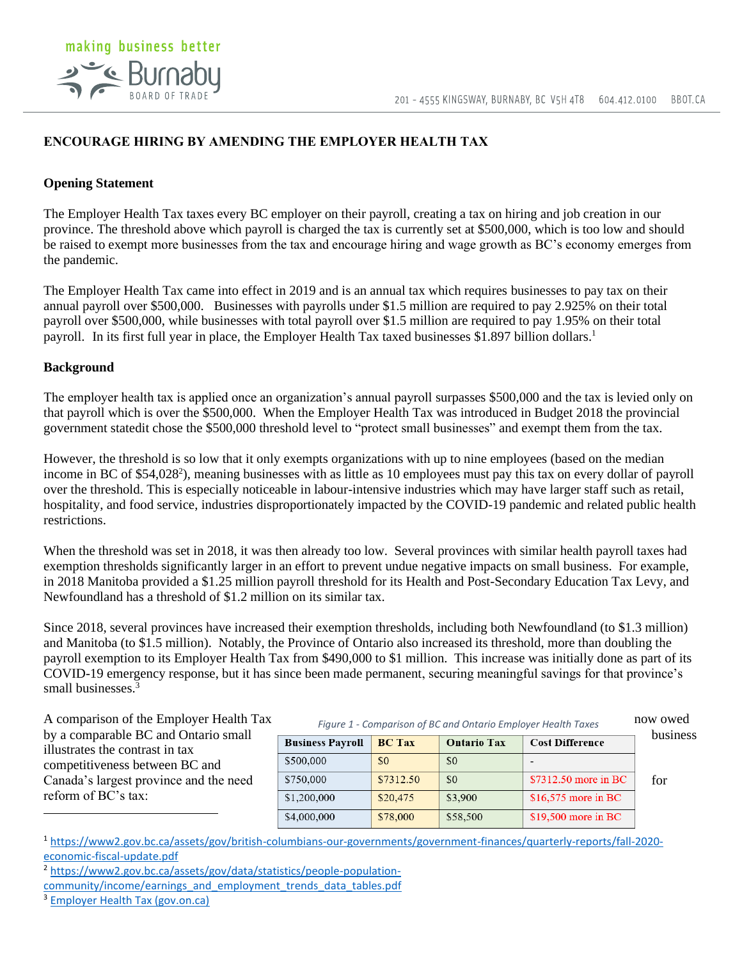

## **ENCOURAGE HIRING BY AMENDING THE EMPLOYER HEALTH TAX**

## **Opening Statement**

The Employer Health Tax taxes every BC employer on their payroll, creating a tax on hiring and job creation in our province. The threshold above which payroll is charged the tax is currently set at \$500,000, which is too low and should be raised to exempt more businesses from the tax and encourage hiring and wage growth as BC's economy emerges from the pandemic.

The Employer Health Tax came into effect in 2019 and is an annual tax which requires businesses to pay tax on their annual payroll over \$500,000. Businesses with payrolls under \$1.5 million are required to pay 2.925% on their total payroll over \$500,000, while businesses with total payroll over \$1.5 million are required to pay 1.95% on their total payroll. In its first full year in place, the Employer Health Tax taxed businesses \$1.897 billion dollars.<sup>1</sup>

## **Background**

The employer health tax is applied once an organization's annual payroll surpasses \$500,000 and the tax is levied only on that payroll which is over the \$500,000. When the Employer Health Tax was introduced in Budget 2018 the provincial government statedit chose the \$500,000 threshold level to "protect small businesses" and exempt them from the tax.

However, the threshold is so low that it only exempts organizations with up to nine employees (based on the median income in BC of \$54,028<sup>2</sup>), meaning businesses with as little as 10 employees must pay this tax on every dollar of payroll over the threshold. This is especially noticeable in labour-intensive industries which may have larger staff such as retail, hospitality, and food service, industries disproportionately impacted by the COVID-19 pandemic and related public health restrictions.

When the threshold was set in 2018, it was then already too low. Several provinces with similar health payroll taxes had exemption thresholds significantly larger in an effort to prevent undue negative impacts on small business. For example, in 2018 Manitoba provided a \$1.25 million payroll threshold for its Health and Post-Secondary Education Tax Levy, and Newfoundland has a threshold of \$1.2 million on its similar tax.

Since 2018, several provinces have increased their exemption thresholds, including both Newfoundland (to \$1.3 million) and Manitoba (to \$1.5 million). Notably, the Province of Ontario also increased its threshold, more than doubling the payroll exemption to its Employer Health Tax from \$490,000 to \$1 million. This increase was initially done as part of its COVID-19 emergency response, but it has since been made permanent, securing meaningful savings for that province's small businesses.<sup>3</sup>

A comparison of the Employer Health Tax Figure 1 - Comparison of BC and Ontario Employer Health Taxes now owed illustrates the contrast in tax competitiveness between BC and Canada's largest province and the need reform of BC's tax:

|                                                                         | rigard $\pm$ comparison of Beland Ontario Employer nearth rancs |  |                    |                 |          |
|-------------------------------------------------------------------------|-----------------------------------------------------------------|--|--------------------|-----------------|----------|
| by a comparable BC and Ontario small<br>illustrates the contrast in tax | <b>Business Pavroll   BC Tax</b>                                |  | <b>Ontario Tax</b> | Cost Difference | business |
|                                                                         | \$500,000                                                       |  |                    |                 |          |

| <b>Business Payroll</b> | <b>BC Tax</b> | <b>Ontario Tax</b> | <b>Cost Difference</b> | <u>Uu</u> |
|-------------------------|---------------|--------------------|------------------------|-----------|
| \$500,000               | \$0           | \$0                |                        |           |
| \$750,000               | \$7312.50     | \$0                | \$7312.50 more in BC   | foi       |
| \$1,200,000             | \$20,475      | \$3,900            | \$16,575 more in BC    |           |
| \$4,000,000             | \$78,000      | \$58,500           | \$19,500 more in BC    |           |

*Figure 1 - Comparison of BC and Ontario Employer Health Taxes*

<sup>1</sup> [https://www2.gov.bc.ca/assets/gov/british-columbians-our-governments/government-finances/quarterly-reports/fall-2020](https://www2.gov.bc.ca/assets/gov/british-columbians-our-governments/government-finances/quarterly-reports/fall-2020-economic-fiscal-update.pdf) [economic-fiscal-update.pdf](https://www2.gov.bc.ca/assets/gov/british-columbians-our-governments/government-finances/quarterly-reports/fall-2020-economic-fiscal-update.pdf)

<sup>2</sup> [https://www2.gov.bc.ca/assets/gov/data/statistics/people-population-](https://www2.gov.bc.ca/assets/gov/data/statistics/people-population-community/income/earnings_and_employment_trends_data_tables.pdf)

[community/income/earnings\\_and\\_employment\\_trends\\_data\\_tables.pdf](https://www2.gov.bc.ca/assets/gov/data/statistics/people-population-community/income/earnings_and_employment_trends_data_tables.pdf)

<sup>3</sup> [Employer Health Tax \(gov.on.ca\)](https://www.fin.gov.on.ca/en/tax/eht/#:~:text=Employer%20Health%20Tax%20(EHT)%20is%20a%20payroll%20tax,circumstances%20caused%20by%20the%20coronavirus%20(COVID%E2%80%9119)%20in%20Ontario.)